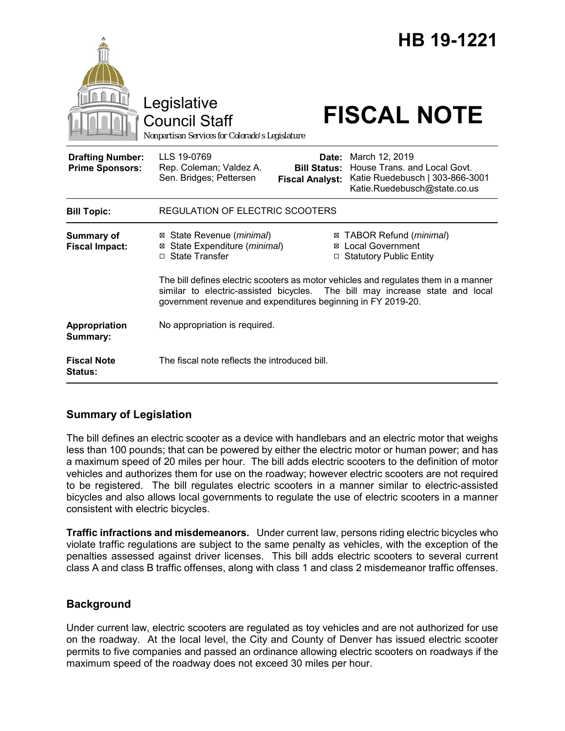|                                                   | Legislative<br><b>Council Staff</b><br>Nonpartisan Services for Colorado's Legislature                                                                                                                                              |                                                        | HB 19-1221<br><b>FISCAL NOTE</b>                                                                                  |  |
|---------------------------------------------------|-------------------------------------------------------------------------------------------------------------------------------------------------------------------------------------------------------------------------------------|--------------------------------------------------------|-------------------------------------------------------------------------------------------------------------------|--|
| <b>Drafting Number:</b><br><b>Prime Sponsors:</b> | LLS 19-0769<br>Rep. Coleman; Valdez A.<br>Sen. Bridges; Pettersen                                                                                                                                                                   | Date:<br><b>Bill Status:</b><br><b>Fiscal Analyst:</b> | March 12, 2019<br>House Trans, and Local Govt.<br>Katie Ruedebusch   303-866-3001<br>Katie.Ruedebusch@state.co.us |  |
| <b>Bill Topic:</b>                                | <b>REGULATION OF ELECTRIC SCOOTERS</b>                                                                                                                                                                                              |                                                        |                                                                                                                   |  |
| Summary of<br><b>Fiscal Impact:</b>               | ⊠ State Revenue ( <i>minimal</i> )<br>State Expenditure (minimal)<br>□ State Transfer                                                                                                                                               |                                                        | ⊠ TABOR Refund ( <i>minimal</i> )<br>⊠ Local Government<br>□ Statutory Public Entity                              |  |
|                                                   | The bill defines electric scooters as motor vehicles and regulates them in a manner<br>similar to electric-assisted bicycles. The bill may increase state and local<br>government revenue and expenditures beginning in FY 2019-20. |                                                        |                                                                                                                   |  |
| Appropriation<br>Summary:                         | No appropriation is required.                                                                                                                                                                                                       |                                                        |                                                                                                                   |  |
| <b>Fiscal Note</b><br><b>Status:</b>              | The fiscal note reflects the introduced bill.                                                                                                                                                                                       |                                                        |                                                                                                                   |  |

# **Summary of Legislation**

The bill defines an electric scooter as a device with handlebars and an electric motor that weighs less than 100 pounds; that can be powered by either the electric motor or human power; and has a maximum speed of 20 miles per hour. The bill adds electric scooters to the definition of motor vehicles and authorizes them for use on the roadway; however electric scooters are not required to be registered. The bill regulates electric scooters in a manner similar to electric-assisted bicycles and also allows local governments to regulate the use of electric scooters in a manner consistent with electric bicycles.

**Traffic infractions and misdemeanors.** Under current law, persons riding electric bicycles who violate traffic regulations are subject to the same penalty as vehicles, with the exception of the penalties assessed against driver licenses. This bill adds electric scooters to several current class A and class B traffic offenses, along with class 1 and class 2 misdemeanor traffic offenses.

# **Background**

Under current law, electric scooters are regulated as toy vehicles and are not authorized for use on the roadway. At the local level, the City and County of Denver has issued electric scooter permits to five companies and passed an ordinance allowing electric scooters on roadways if the maximum speed of the roadway does not exceed 30 miles per hour.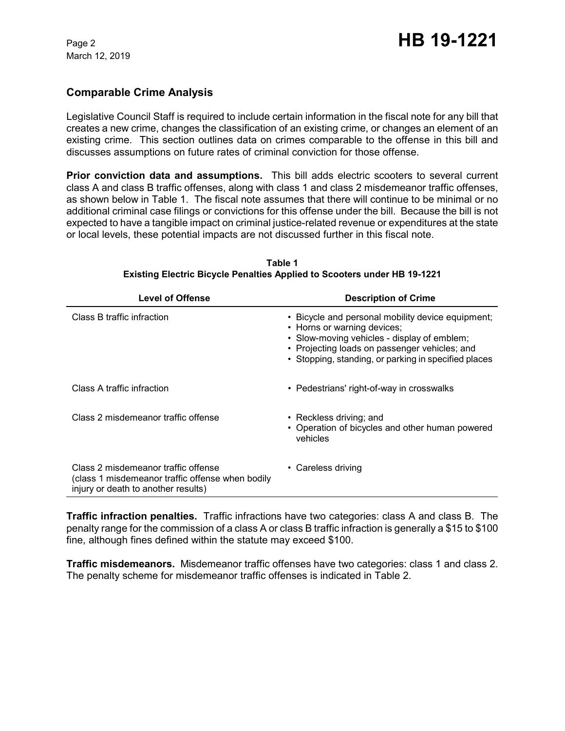March 12, 2019

### **Comparable Crime Analysis**

Legislative Council Staff is required to include certain information in the fiscal note for any bill that creates a new crime, changes the classification of an existing crime, or changes an element of an existing crime. This section outlines data on crimes comparable to the offense in this bill and discusses assumptions on future rates of criminal conviction for those offense.

**Prior conviction data and assumptions.** This bill adds electric scooters to several current class A and class B traffic offenses, along with class 1 and class 2 misdemeanor traffic offenses, as shown below in Table 1. The fiscal note assumes that there will continue to be minimal or no additional criminal case filings or convictions for this offense under the bill. Because the bill is not expected to have a tangible impact on criminal justice-related revenue or expenditures at the state or local levels, these potential impacts are not discussed further in this fiscal note.

| <b>Level of Offense</b>                                                                                                        | <b>Description of Crime</b>                                                                                                                                                                                                              |  |  |
|--------------------------------------------------------------------------------------------------------------------------------|------------------------------------------------------------------------------------------------------------------------------------------------------------------------------------------------------------------------------------------|--|--|
| Class B traffic infraction                                                                                                     | • Bicycle and personal mobility device equipment;<br>• Horns or warning devices;<br>• Slow-moving vehicles - display of emblem;<br>• Projecting loads on passenger vehicles; and<br>• Stopping, standing, or parking in specified places |  |  |
| Class A traffic infraction                                                                                                     | • Pedestrians' right-of-way in crosswalks                                                                                                                                                                                                |  |  |
| Class 2 misdemeanor traffic offense                                                                                            | • Reckless driving; and<br>• Operation of bicycles and other human powered<br>vehicles                                                                                                                                                   |  |  |
| Class 2 misdemeanor traffic offense<br>(class 1 misdemeanor traffic offense when bodily<br>injury or death to another results) | • Careless driving                                                                                                                                                                                                                       |  |  |

**Table 1 Existing Electric Bicycle Penalties Applied to Scooters under HB 19-1221**

**Traffic infraction penalties.** Traffic infractions have two categories: class A and class B. The penalty range for the commission of a class A or class B traffic infraction is generally a \$15 to \$100 fine, although fines defined within the statute may exceed \$100.

**Traffic misdemeanors.** Misdemeanor traffic offenses have two categories: class 1 and class 2. The penalty scheme for misdemeanor traffic offenses is indicated in Table 2.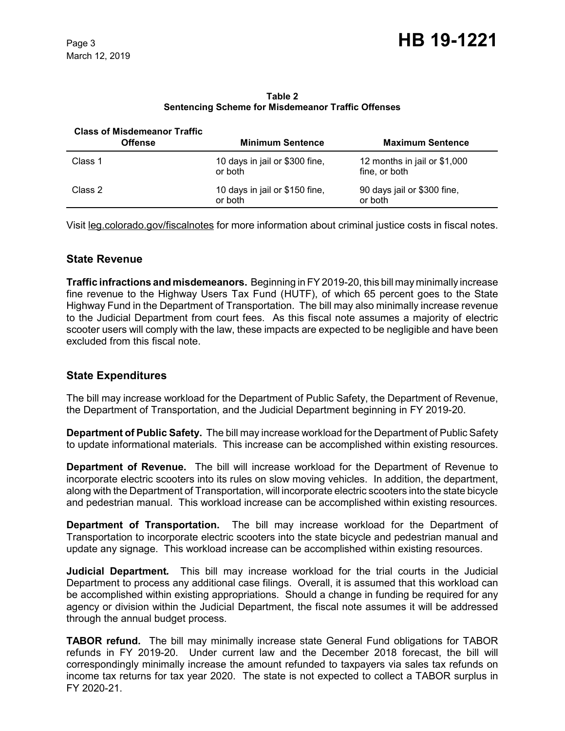| <b>Class of Misdemeanor Traffic</b><br><b>Offense</b> | <b>Minimum Sentence</b>                   | <b>Maximum Sentence</b>                       |
|-------------------------------------------------------|-------------------------------------------|-----------------------------------------------|
| Class 1                                               | 10 days in jail or \$300 fine,<br>or both | 12 months in jail or \$1,000<br>fine, or both |
| Class 2                                               | 10 days in jail or \$150 fine,<br>or both | 90 days jail or \$300 fine,<br>or both        |

**Table 2 Sentencing Scheme for Misdemeanor Traffic Offenses**

Visit leg.colorado.gov/fiscalnotes for more information about criminal justice costs in fiscal notes.

#### **State Revenue**

**Traffic infractions and misdemeanors.** Beginning in FY 2019-20, this bill may minimally increase fine revenue to the Highway Users Tax Fund (HUTF), of which 65 percent goes to the State Highway Fund in the Department of Transportation. The bill may also minimally increase revenue to the Judicial Department from court fees. As this fiscal note assumes a majority of electric scooter users will comply with the law, these impacts are expected to be negligible and have been excluded from this fiscal note.

#### **State Expenditures**

The bill may increase workload for the Department of Public Safety, the Department of Revenue, the Department of Transportation, and the Judicial Department beginning in FY 2019-20.

**Department of Public Safety.** The bill may increase workload for the Department of Public Safety to update informational materials. This increase can be accomplished within existing resources.

**Department of Revenue.** The bill will increase workload for the Department of Revenue to incorporate electric scooters into its rules on slow moving vehicles. In addition, the department, along with the Department of Transportation, will incorporate electric scooters into the state bicycle and pedestrian manual. This workload increase can be accomplished within existing resources.

**Department of Transportation.** The bill may increase workload for the Department of Transportation to incorporate electric scooters into the state bicycle and pedestrian manual and update any signage. This workload increase can be accomplished within existing resources.

**Judicial Department***.* This bill may increase workload for the trial courts in the Judicial Department to process any additional case filings. Overall, it is assumed that this workload can be accomplished within existing appropriations. Should a change in funding be required for any agency or division within the Judicial Department, the fiscal note assumes it will be addressed through the annual budget process.

**TABOR refund.** The bill may minimally increase state General Fund obligations for TABOR refunds in FY 2019-20. Under current law and the December 2018 forecast, the bill will correspondingly minimally increase the amount refunded to taxpayers via sales tax refunds on income tax returns for tax year 2020. The state is not expected to collect a TABOR surplus in FY 2020-21.